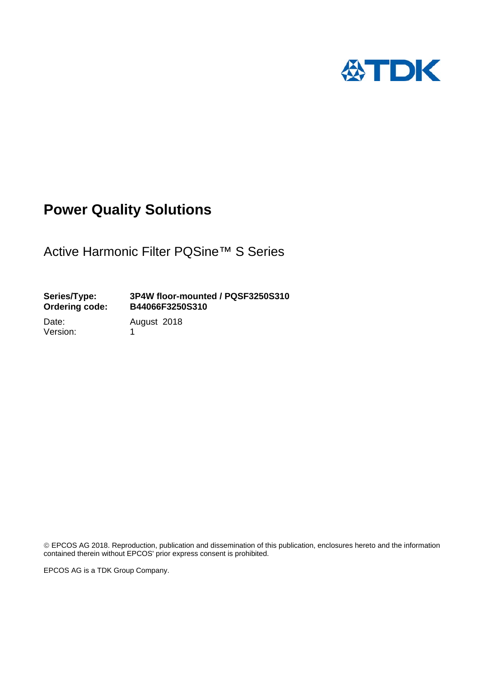

# **Power Quality Solutions**

Active Harmonic Filter PQSine™ S Series

### **Series/Type: 3P4W floor-mounted / PQSF3250S310 Ordering code: B44066F3250S310**

Version: 1

Date: August 2018

 EPCOS AG 2018. Reproduction, publication and dissemination of this publication, enclosures hereto and the information contained therein without EPCOS' prior express consent is prohibited.

EPCOS AG is a TDK Group Company.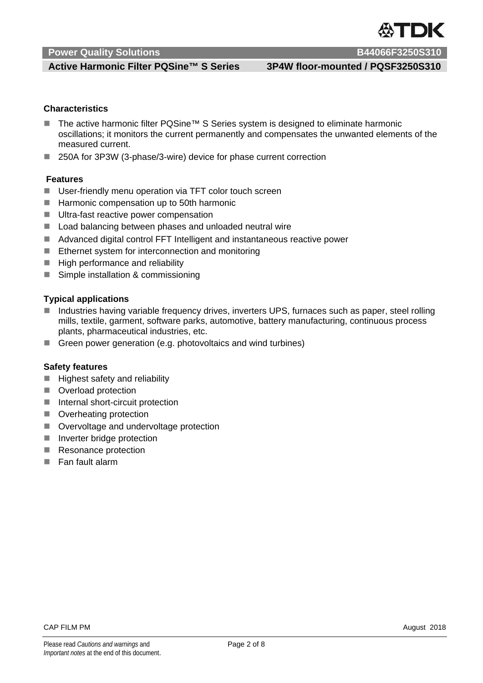### **Active Harmonic Filter PQSine™ S Series 3P4W floor-mounted / PQSF3250S310**

### **Characteristics]**

- The active harmonic filter PQSine<sup>™</sup> S Series system is designed to eliminate harmonic oscillations; it monitors the current permanently and compensates the unwanted elements of the measured current.
- 250A for 3P3W (3-phase/3-wire) device for phase current correction

### **Features**

- User-friendly menu operation via TFT color touch screen
- Harmonic compensation up to 50th harmonic
- Ultra-fast reactive power compensation
- Load balancing between phases and unloaded neutral wire
- Advanced digital control FFT Intelligent and instantaneous reactive power
- $\blacksquare$  Ethernet system for interconnection and monitoring
- $\blacksquare$  High performance and reliability
- Simple installation & commissioning

#### **Typical applications**

- Industries having variable frequency drives, inverters UPS, furnaces such as paper, steel rolling mills, textile, garment, software parks, automotive, battery manufacturing, continuous process plants, pharmaceutical industries, etc.
- Green power generation (e.g. photovoltaics and wind turbines)

#### **Safety features**

- $\blacksquare$  Highest safety and reliability
- **Overload protection**
- $\blacksquare$  Internal short-circuit protection
- **D** Overheating protection
- Overvoltage and undervoltage protection
- Inverter bridge protection
- Resonance protection
- **Fan fault alarm**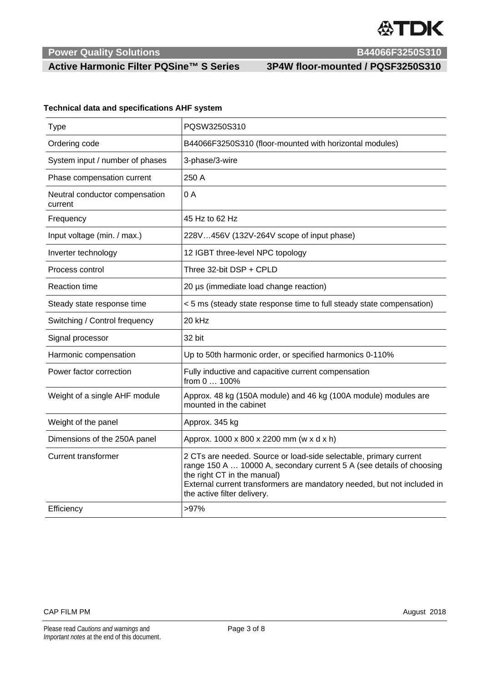

### **Active Harmonic Filter PQSine™ S Series 3P4W floor-mounted / PQSF3250S310**

### **Technical data and specifications AHF system**

| Type                                      | PQSW3250S310                                                                                                                                                                                                                                                                       |
|-------------------------------------------|------------------------------------------------------------------------------------------------------------------------------------------------------------------------------------------------------------------------------------------------------------------------------------|
| Ordering code                             | B44066F3250S310 (floor-mounted with horizontal modules)                                                                                                                                                                                                                            |
| System input / number of phases           | 3-phase/3-wire                                                                                                                                                                                                                                                                     |
| Phase compensation current                | 250 A                                                                                                                                                                                                                                                                              |
| Neutral conductor compensation<br>current | 0A                                                                                                                                                                                                                                                                                 |
| Frequency                                 | 45 Hz to 62 Hz                                                                                                                                                                                                                                                                     |
| Input voltage (min. / max.)               | 228V456V (132V-264V scope of input phase)                                                                                                                                                                                                                                          |
| Inverter technology                       | 12 IGBT three-level NPC topology                                                                                                                                                                                                                                                   |
| Process control                           | Three 32-bit DSP + CPLD                                                                                                                                                                                                                                                            |
| <b>Reaction time</b>                      | 20 µs (immediate load change reaction)                                                                                                                                                                                                                                             |
| Steady state response time                | < 5 ms (steady state response time to full steady state compensation)                                                                                                                                                                                                              |
| Switching / Control frequency             | 20 kHz                                                                                                                                                                                                                                                                             |
| Signal processor                          | 32 bit                                                                                                                                                                                                                                                                             |
| Harmonic compensation                     | Up to 50th harmonic order, or specified harmonics 0-110%                                                                                                                                                                                                                           |
| Power factor correction                   | Fully inductive and capacitive current compensation<br>from 0  100%                                                                                                                                                                                                                |
| Weight of a single AHF module             | Approx. 48 kg (150A module) and 46 kg (100A module) modules are<br>mounted in the cabinet                                                                                                                                                                                          |
| Weight of the panel                       | Approx. 345 kg                                                                                                                                                                                                                                                                     |
| Dimensions of the 250A panel              | Approx. 1000 x 800 x 2200 mm (w x d x h)                                                                                                                                                                                                                                           |
| <b>Current transformer</b>                | 2 CTs are needed. Source or load-side selectable, primary current<br>range 150 A  10000 A, secondary current 5 A (see details of choosing<br>the right CT in the manual)<br>External current transformers are mandatory needed, but not included in<br>the active filter delivery. |
| Efficiency                                | >97%                                                                                                                                                                                                                                                                               |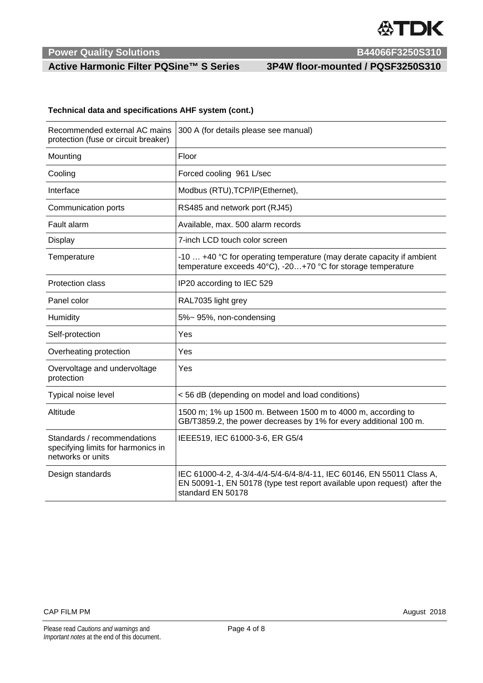

## **Active Harmonic Filter PQSine™ S Series 3P4W floor-mounted / PQSF3250S310**

#### **Technical data and specifications AHF system (cont.)**

| Recommended external AC mains<br>protection (fuse or circuit breaker)                  | 300 A (for details please see manual)                                                                                                                                  |
|----------------------------------------------------------------------------------------|------------------------------------------------------------------------------------------------------------------------------------------------------------------------|
| Mounting                                                                               | Floor                                                                                                                                                                  |
| Cooling                                                                                | Forced cooling 961 L/sec                                                                                                                                               |
| Interface                                                                              | Modbus (RTU), TCP/IP(Ethernet),                                                                                                                                        |
| Communication ports                                                                    | RS485 and network port (RJ45)                                                                                                                                          |
| Fault alarm                                                                            | Available, max. 500 alarm records                                                                                                                                      |
| Display                                                                                | 7-inch LCD touch color screen                                                                                                                                          |
| Temperature                                                                            | -10  +40 °C for operating temperature (may derate capacity if ambient<br>temperature exceeds 40°C), -20+70 °C for storage temperature                                  |
| <b>Protection class</b>                                                                | IP20 according to IEC 529                                                                                                                                              |
| Panel color                                                                            | RAL7035 light grey                                                                                                                                                     |
| Humidity                                                                               | 5%~95%, non-condensing                                                                                                                                                 |
| Self-protection                                                                        | Yes                                                                                                                                                                    |
| Overheating protection                                                                 | Yes                                                                                                                                                                    |
| Overvoltage and undervoltage<br>protection                                             | Yes                                                                                                                                                                    |
| Typical noise level                                                                    | <56 dB (depending on model and load conditions)                                                                                                                        |
| Altitude                                                                               | 1500 m; 1% up 1500 m. Between 1500 m to 4000 m, according to<br>GB/T3859.2, the power decreases by 1% for every additional 100 m.                                      |
| Standards / recommendations<br>specifying limits for harmonics in<br>networks or units | IEEE519, IEC 61000-3-6, ER G5/4                                                                                                                                        |
| Design standards                                                                       | IEC 61000-4-2, 4-3/4-4/4-5/4-6/4-8/4-11, IEC 60146, EN 55011 Class A,<br>EN 50091-1, EN 50178 (type test report available upon request) after the<br>standard EN 50178 |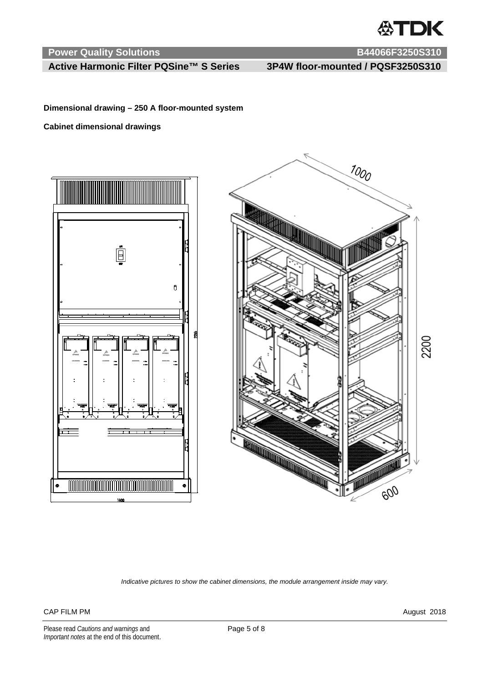

### **Active Harmonic Filter PQSine™ S Series 3P4W floor-mounted / PQSF3250S310**

**Dimensional drawing – 250 A floor-mounted system** 

**Cabinet dimensional drawings** 





*Indicative pictures to show the cabinet dimensions, the module arrangement inside may vary.* 

### CAP FILM PM August 2018

Please read *Cautions and warnings* and **Page 5 of 8** Page 5 of 8 *Important notes* at the end of this document.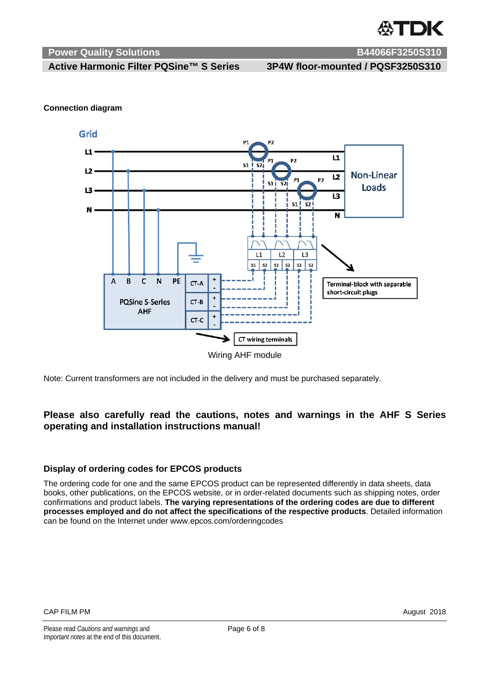

 **Active Harmonic Filter PQSine™ S Series 3P4W floor-mounted / PQSF3250S310** 

#### **Connection diagram**



Note: Current transformers are not included in the delivery and must be purchased separately.

### **Please also carefully read the cautions, notes and warnings in the AHF S Series operating and installation instructions manual!**

#### **Display of ordering codes for EPCOS products**

The ordering code for one and the same EPCOS product can be represented differently in data sheets, data books, other publications, on the EPCOS website, or in order-related documents such as shipping notes, order confirmations and product labels. **The varying representations of the ordering codes are due to different processes employed and do not affect the specifications of the respective products**. Detailed information can be found on the Internet under www.epcos.com/orderingcodes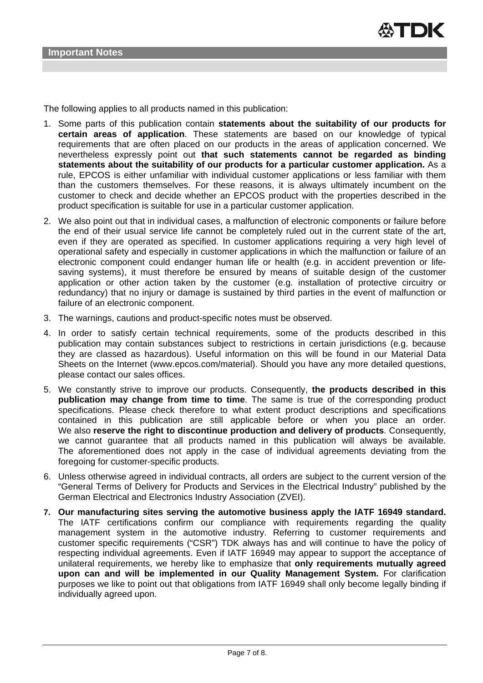

The following applies to all products named in this publication:

- 1. Some parts of this publication contain **statements about the suitability of our products for certain areas of application**. These statements are based on our knowledge of typical requirements that are often placed on our products in the areas of application concerned. We nevertheless expressly point out **that such statements cannot be regarded as binding statements about the suitability of our products for a particular customer application.** As a rule, EPCOS is either unfamiliar with individual customer applications or less familiar with them than the customers themselves. For these reasons, it is always ultimately incumbent on the customer to check and decide whether an EPCOS product with the properties described in the product specification is suitable for use in a particular customer application.
- 2. We also point out that in individual cases, a malfunction of electronic components or failure before the end of their usual service life cannot be completely ruled out in the current state of the art, even if they are operated as specified. In customer applications requiring a very high level of operational safety and especially in customer applications in which the malfunction or failure of an electronic component could endanger human life or health (e.g. in accident prevention or lifesaving systems), it must therefore be ensured by means of suitable design of the customer application or other action taken by the customer (e.g. installation of protective circuitry or redundancy) that no injury or damage is sustained by third parties in the event of malfunction or failure of an electronic component.
- 3. The warnings, cautions and product-specific notes must be observed.
- 4. In order to satisfy certain technical requirements, some of the products described in this publication may contain substances subject to restrictions in certain jurisdictions (e.g. because they are classed as hazardous). Useful information on this will be found in our Material Data Sheets on the Internet (www.epcos.com/material). Should you have any more detailed questions, please contact our sales offices.
- 5. We constantly strive to improve our products. Consequently, **the products described in this publication may change from time to time**. The same is true of the corresponding product specifications. Please check therefore to what extent product descriptions and specifications contained in this publication are still applicable before or when you place an order. We also **reserve the right to discontinue production and delivery of products**. Consequently, we cannot guarantee that all products named in this publication will always be available. The aforementioned does not apply in the case of individual agreements deviating from the foregoing for customer-specific products.
- 6. Unless otherwise agreed in individual contracts, all orders are subject to the current version of the "General Terms of Delivery for Products and Services in the Electrical Industry" published by the German Electrical and Electronics Industry Association (ZVEI).
- **7. Our manufacturing sites serving the automotive business apply the IATF 16949 standard.** The IATF certifications confirm our compliance with requirements regarding the quality management system in the automotive industry. Referring to customer requirements and customer specific requirements ("CSR") TDK always has and will continue to have the policy of respecting individual agreements. Even if IATF 16949 may appear to support the acceptance of unilateral requirements, we hereby like to emphasize that **only requirements mutually agreed upon can and will be implemented in our Quality Management System.** For clarification purposes we like to point out that obligations from IATF 16949 shall only become legally binding if individually agreed upon.